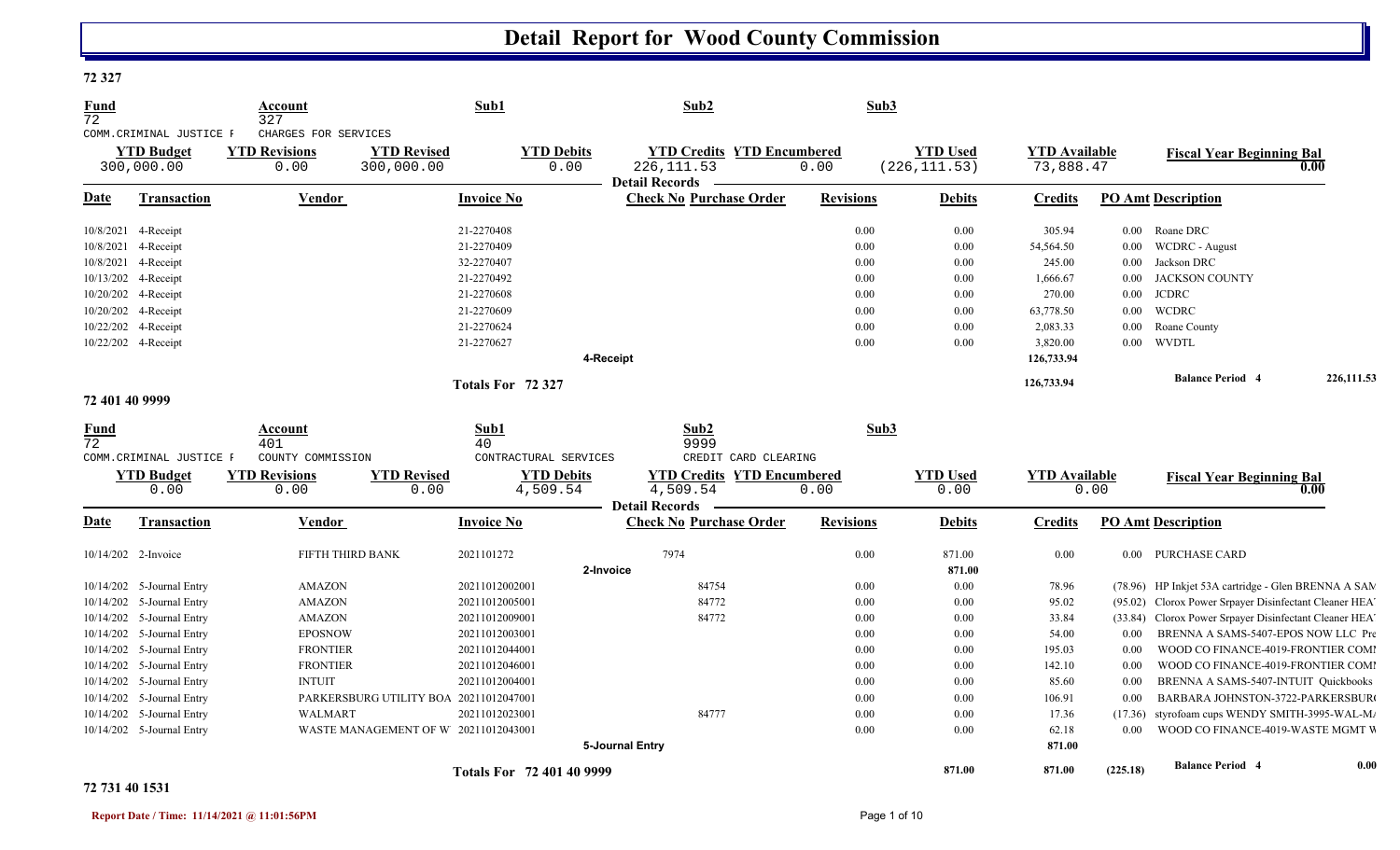#### **72 327**

| <b>Fund</b><br>72 |                                                             | Account<br>327                                       |                                        | Sub1                             | Sub2                                                                      | Sub3             |                                  |                                   |          |                                                     |            |
|-------------------|-------------------------------------------------------------|------------------------------------------------------|----------------------------------------|----------------------------------|---------------------------------------------------------------------------|------------------|----------------------------------|-----------------------------------|----------|-----------------------------------------------------|------------|
|                   | COMM. CRIMINAL JUSTICE F<br><b>YTD Budget</b><br>300,000.00 | CHARGES FOR SERVICES<br><b>YTD Revisions</b><br>0.00 | <b>YTD Revised</b><br>300,000.00       | <b>YTD Debits</b><br>0.00        | <b>YTD Credits YTD Encumbered</b><br>226, 111.53<br><b>Detail Records</b> | 0.00             | <b>YTD Used</b><br>(226, 111.53) | <b>YTD Available</b><br>73,888.47 |          | <b>Fiscal Year Beginning Bal</b>                    | 0.00       |
| Date              | <b>Transaction</b>                                          | <b>Vendor</b>                                        |                                        | <b>Invoice No</b>                | <b>Check No Purchase Order</b>                                            | <b>Revisions</b> | <b>Debits</b>                    | <b>Credits</b>                    |          | <b>PO Amt Description</b>                           |            |
|                   | 10/8/2021 4-Receipt                                         |                                                      |                                        | 21-2270408                       |                                                                           | 0.00             | 0.00                             | 305.94                            |          | 0.00 Roane DRC                                      |            |
|                   | 10/8/2021 4-Receipt                                         |                                                      |                                        | 21-2270409                       |                                                                           | 0.00             | 0.00                             | 54,564.50                         |          | 0.00 WCDRC - August                                 |            |
|                   | 10/8/2021 4-Receipt                                         |                                                      |                                        | 32-2270407                       |                                                                           | 0.00             | 0.00                             | 245.00                            | $0.00\,$ | Jackson DRC                                         |            |
|                   | 10/13/202 4-Receipt                                         |                                                      |                                        | 21-2270492                       |                                                                           | 0.00             | 0.00                             | 1,666.67                          | $0.00\,$ | <b>JACKSON COUNTY</b>                               |            |
|                   | 10/20/202 4-Receipt                                         |                                                      |                                        | 21-2270608                       |                                                                           | 0.00             | 0.00                             | 270.00                            | $0.00\,$ | <b>JCDRC</b>                                        |            |
|                   | 10/20/202 4-Receipt                                         |                                                      |                                        | 21-2270609                       |                                                                           | 0.00             | 0.00                             | 63,778.50                         | $0.00\,$ | WCDRC                                               |            |
|                   | 10/22/202 4-Receipt                                         |                                                      |                                        | 21-2270624                       |                                                                           | 0.00             | 0.00                             | 2,083.33                          | $0.00\,$ | Roane County                                        |            |
|                   | 10/22/202 4-Receipt                                         |                                                      |                                        | 21-2270627                       |                                                                           | 0.00             | 0.00                             | 3,820.00                          | $0.00\,$ | <b>WVDTL</b>                                        |            |
|                   |                                                             |                                                      |                                        |                                  | 4-Receipt                                                                 |                  |                                  | 126,733.94                        |          |                                                     |            |
|                   |                                                             |                                                      |                                        | Totals For 72 327                |                                                                           |                  |                                  | 126,733.94                        |          | <b>Balance Period 4</b>                             | 226,111.53 |
| 72 401 40 9999    |                                                             |                                                      |                                        |                                  |                                                                           |                  |                                  |                                   |          |                                                     |            |
| <b>Fund</b>       |                                                             | Account                                              |                                        | Sub1                             | Sub2                                                                      | Sub3             |                                  |                                   |          |                                                     |            |
| 72                |                                                             | 401                                                  |                                        | 40                               | 9999                                                                      |                  |                                  |                                   |          |                                                     |            |
|                   | COMM. CRIMINAL JUSTICE F                                    | COUNTY COMMISSION                                    |                                        | CONTRACTURAL SERVICES            | CREDIT CARD CLEARING                                                      |                  |                                  |                                   |          |                                                     |            |
|                   | <b>YTD Budget</b>                                           | <b>YTD Revisions</b>                                 | <b>YTD Revised</b>                     | <b>YTD Debits</b>                | <b>YTD Credits YTD Encumbered</b>                                         |                  | <b>YTD Used</b>                  | <b>YTD Available</b>              |          | <b>Fiscal Year Beginning Bal</b>                    |            |
|                   | 0.00                                                        | 0.00                                                 | 0.00                                   | 4,509.54                         | $\overline{4,509.54}$                                                     | 0.00             | 0.00                             |                                   | 0.00     |                                                     | 0.00       |
| Date              | Transaction                                                 | Vendor                                               |                                        | <b>Invoice No</b>                | <b>Detail Records</b><br><b>Check No Purchase Order</b>                   | <b>Revisions</b> | <b>Debits</b>                    | <b>Credits</b>                    |          | <b>PO Amt Description</b>                           |            |
|                   | 10/14/202 2-Invoice                                         | FIFTH THIRD BANK                                     |                                        | 2021101272                       | 7974                                                                      | 0.00             | 871.00                           | 0.00                              |          | 0.00 PURCHASE CARD                                  |            |
|                   |                                                             |                                                      |                                        |                                  | 2-Invoice                                                                 |                  | 871.00                           |                                   |          |                                                     |            |
|                   | 10/14/202 5-Journal Entry                                   | <b>AMAZON</b>                                        |                                        | 20211012002001                   | 84754                                                                     | 0.00             | $0.00\,$                         | 78.96                             |          | (78.96) HP Inkjet 53A cartridge - Glen BRENNA A SAM |            |
| 10/14/202         | 5-Journal Entry                                             | <b>AMAZON</b>                                        |                                        | 20211012005001                   | 84772                                                                     | 0.00             | 0.00                             | 95.02                             | (95.02)  | Clorox Power Srpayer Disinfectant Cleaner HEA       |            |
|                   | 10/14/202 5-Journal Entry                                   | <b>AMAZON</b>                                        |                                        | 20211012009001                   | 84772                                                                     | 0.00             | 0.00                             | 33.84                             | (33.84)  | Clorox Power Srpayer Disinfectant Cleaner HEA       |            |
|                   | 10/14/202 5-Journal Entry                                   | <b>EPOSNOW</b>                                       |                                        | 20211012003001                   |                                                                           | 0.00             | 0.00                             | 54.00                             | $0.00\,$ | BRENNA A SAMS-5407-EPOS NOW LLC Pre                 |            |
| 10/14/202         | 5-Journal Entry                                             | <b>FRONTIER</b>                                      |                                        | 20211012044001                   |                                                                           | 0.00             | 0.00                             | 195.03                            | 0.00     | WOOD CO FINANCE-4019-FRONTIER COM                   |            |
|                   | 10/14/202 5-Journal Entry                                   | <b>FRONTIER</b>                                      |                                        | 20211012046001                   |                                                                           | 0.00             | 0.00                             | 142.10                            | 0.00     | WOOD CO FINANCE-4019-FRONTIER COM                   |            |
|                   | 10/14/202 5-Journal Entry                                   | <b>INTUIT</b>                                        |                                        | 20211012004001                   |                                                                           | 0.00             | 0.00                             | 85.60                             | 0.00     | BRENNA A SAMS-5407-INTUIT Quickbooks                |            |
|                   | 10/14/202 5-Journal Entry                                   |                                                      | PARKERSBURG UTILITY BOA 20211012047001 |                                  |                                                                           | 0.00             | 0.00                             | 106.91                            | 0.00     | BARBARA JOHNSTON-3722-PARKERSBUR                    |            |
| 10/14/202         | 5-Journal Entry                                             | WALMART                                              |                                        | 20211012023001                   | 84777                                                                     | 0.00             | 0.00                             | 17.36                             | (17.36)  | styrofoam cups WENDY SMITH-3995-WAL-M.              |            |
|                   | 10/14/202 5-Journal Entry                                   |                                                      | WASTE MANAGEMENT OF W 20211012043001   |                                  |                                                                           | 0.00             | 0.00                             | 62.18                             | $0.00\,$ | WOOD CO FINANCE-4019-WASTE MGMT V                   |            |
|                   |                                                             |                                                      |                                        |                                  | 5-Journal Entry                                                           |                  |                                  | 871.00                            |          |                                                     |            |
|                   |                                                             |                                                      |                                        | <b>Totals For 72 401 40 9999</b> |                                                                           |                  | 871.00                           | 871.00                            | (225.18) | <b>Balance Period 4</b>                             | 0.00       |

#### **72 731 40 1531**

 $\mathbf{I}$ 

 $\mathbf{C}$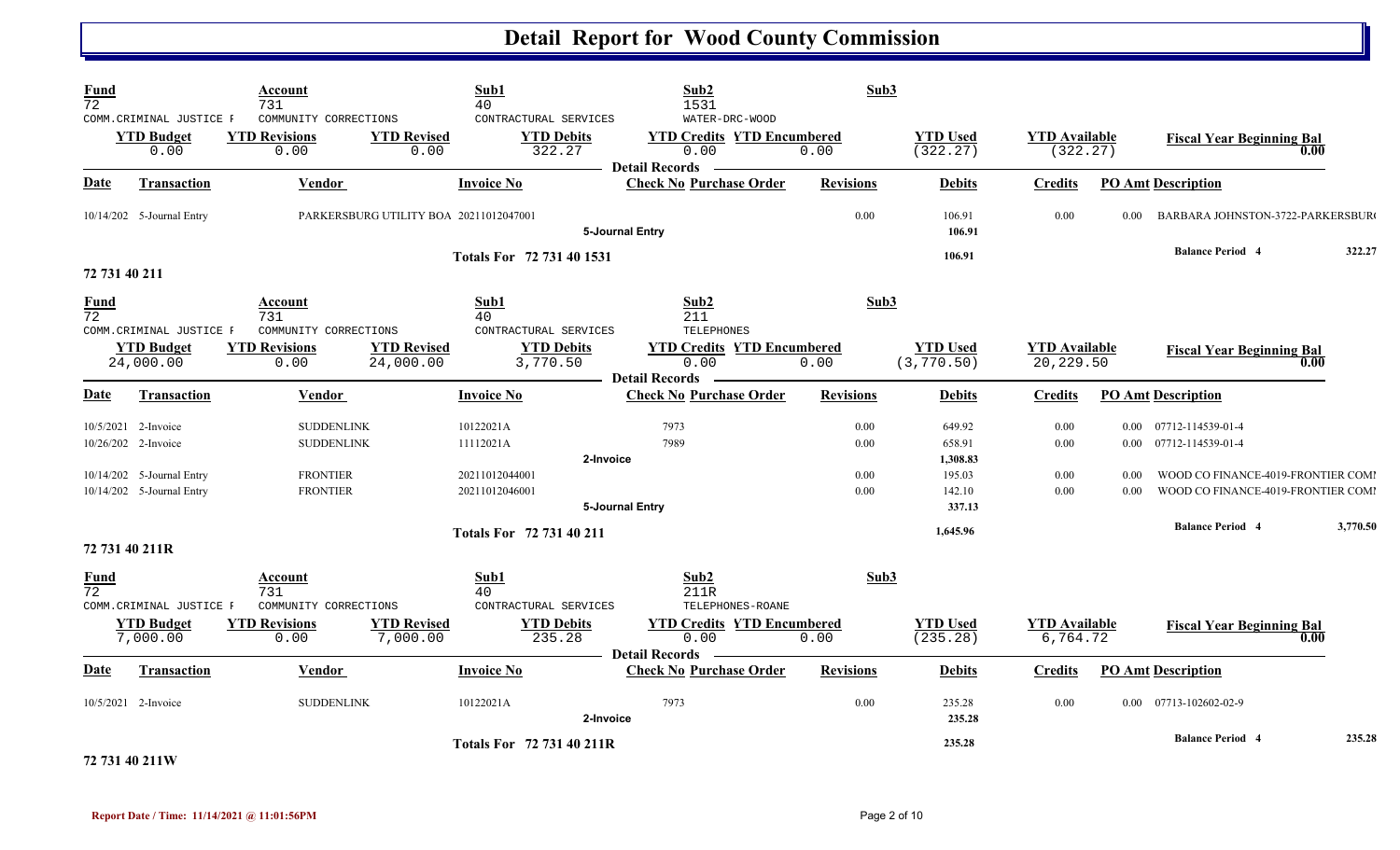| <b>Fund</b><br>$\overline{72}$ |                                                                                                      | Account<br>731                                                                                                                             |                                        | Sub1<br>40                                           | Sub2<br>1531                                                                         | Sub3                                             |                                |                                   |                                                                                                                                        |                                  |          |
|--------------------------------|------------------------------------------------------------------------------------------------------|--------------------------------------------------------------------------------------------------------------------------------------------|----------------------------------------|------------------------------------------------------|--------------------------------------------------------------------------------------|--------------------------------------------------|--------------------------------|-----------------------------------|----------------------------------------------------------------------------------------------------------------------------------------|----------------------------------|----------|
|                                | COMM. CRIMINAL JUSTICE F<br><b>YTD Budget</b><br>0.00                                                | COMMUNITY CORRECTIONS<br><b>YTD Revisions</b><br>0.00                                                                                      | <b>YTD Revised</b><br>0.00             | CONTRACTURAL SERVICES<br><b>YTD Debits</b><br>322.27 | WATER-DRC-WOOD<br><b>YTD Credits YTD Encumbered</b><br>0.00<br><b>Detail Records</b> | 0.00                                             | <b>YTD Used</b><br>(322.27)    | <b>YTD</b> Available<br>(322.27)  |                                                                                                                                        | <b>Fiscal Year Beginning Bal</b> | 0.00     |
| <b>Date</b>                    | <b>Transaction</b>                                                                                   | <b>Vendor</b>                                                                                                                              |                                        | <b>Invoice No</b>                                    | <b>Check No Purchase Order</b>                                                       | <b>Revisions</b>                                 | <b>Debits</b>                  | <b>Credits</b>                    |                                                                                                                                        | <b>PO Amt Description</b>        |          |
|                                | 10/14/202 5-Journal Entry                                                                            |                                                                                                                                            | PARKERSBURG UTILITY BOA 20211012047001 |                                                      | 5-Journal Entry                                                                      | 0.00                                             | 106.91<br>106.91               | 0.00                              | 0.00                                                                                                                                   | BARBARA JOHNSTON-3722-PARKERSBUR |          |
|                                | 72 731 40 211                                                                                        |                                                                                                                                            |                                        | Totals For 72 731 40 1531                            |                                                                                      |                                                  | 106.91                         |                                   |                                                                                                                                        | <b>Balance Period 4</b>          | 322.27   |
| <b>Fund</b><br>$\overline{72}$ | COMM. CRIMINAL JUSTICE F                                                                             | Account<br>731<br>COMMUNITY CORRECTIONS                                                                                                    |                                        | Sub1<br>40<br>CONTRACTURAL SERVICES                  | Sub2<br>211<br>TELEPHONES                                                            | Sub3                                             |                                |                                   |                                                                                                                                        |                                  |          |
|                                | <b>YTD Budget</b><br>24,000.00                                                                       | <b>YTD Revisions</b><br>0.00                                                                                                               | <b>YTD Revised</b><br>24,000.00        | <b>YTD Debits</b><br>3,770.50                        | <b>YTD Credits YTD Encumbered</b><br>0.00<br><b>Detail Records</b>                   | 0.00                                             | <b>YTD Used</b><br>(3, 770.50) | <b>YTD</b> Available<br>20,229.50 |                                                                                                                                        | <b>Fiscal Year Beginning Bal</b> | 0.00     |
| Date                           | <b>Transaction</b>                                                                                   | Vendor                                                                                                                                     |                                        | <b>Invoice No</b>                                    | <b>Check No Purchase Order</b>                                                       | <b>Revisions</b>                                 | <b>Debits</b>                  | <b>Credits</b>                    |                                                                                                                                        | <b>PO Amt Description</b>        |          |
|                                | 10/5/2021 2-Invoice<br>10/26/202 2-Invoice<br>10/14/202 5-Journal Entry<br>10/14/202 5-Journal Entry | <b>SUDDENLINK</b><br>10122021A<br><b>SUDDENLINK</b><br>11112021A<br><b>FRONTIER</b><br>20211012044001<br><b>FRONTIER</b><br>20211012046001 |                                        | 7973<br>7989<br>2-Invoice                            | 0.00<br>0.00<br>0.00<br>0.00                                                         | 649.92<br>658.91<br>1,308.83<br>195.03<br>142.10 | 0.00<br>0.00<br>0.00<br>0.00   | 0.00<br>0.00                      | 0.00 07712-114539-01-4<br>$0.00$ $07712 - 114539 - 01 - 4$<br>WOOD CO FINANCE-4019-FRONTIER COMI<br>WOOD CO FINANCE-4019-FRONTIER COMI |                                  |          |
|                                |                                                                                                      |                                                                                                                                            |                                        |                                                      | 5-Journal Entry                                                                      |                                                  | 337.13                         |                                   |                                                                                                                                        | <b>Balance Period 4</b>          | 3,770.50 |
|                                | 72 731 40 211R                                                                                       |                                                                                                                                            |                                        | Totals For 72 731 40 211                             |                                                                                      |                                                  | 1,645.96                       |                                   |                                                                                                                                        |                                  |          |
| <b>Fund</b><br>$\overline{72}$ | COMM. CRIMINAL JUSTICE F                                                                             | Account<br>731<br>COMMUNITY CORRECTIONS                                                                                                    |                                        | Sub1<br>40<br>CONTRACTURAL SERVICES                  | Sub2<br>211R<br>TELEPHONES-ROANE                                                     | Sub3                                             |                                |                                   |                                                                                                                                        |                                  |          |
|                                | <b>YTD Budget</b><br>7,000.00                                                                        | <b>YTD Revisions</b><br>0.00                                                                                                               | <b>YTD Revised</b><br>7,000.00         | <b>YTD Debits</b><br>235.28                          | <b>YTD Credits YTD Encumbered</b><br>0.00<br><b>Detail Records</b>                   | 0.00                                             | <b>YTD Used</b><br>(235.28)    | <b>YTD</b> Available<br>6,764.72  |                                                                                                                                        | <b>Fiscal Year Beginning Bal</b> | 0.00     |
| Date                           | <b>Transaction</b>                                                                                   | Vendor                                                                                                                                     |                                        | <b>Invoice No</b>                                    | <b>Check No Purchase Order</b>                                                       | <b>Revisions</b>                                 | <b>Debits</b>                  | <b>Credits</b>                    |                                                                                                                                        | <b>PO Amt Description</b>        |          |
|                                | 10/5/2021 2-Invoice                                                                                  | <b>SUDDENLINK</b>                                                                                                                          |                                        | 10122021A                                            | 7973<br>2-Invoice                                                                    | 0.00                                             | 235.28<br>235.28               | 0.00                              |                                                                                                                                        | 0.00 07713-102602-02-9           |          |
|                                | 72 731 40 211W                                                                                       |                                                                                                                                            |                                        | <b>Totals For 72 731 40 211R</b>                     |                                                                                      |                                                  | 235.28                         |                                   |                                                                                                                                        | <b>Balance Period 4</b>          | 235.28   |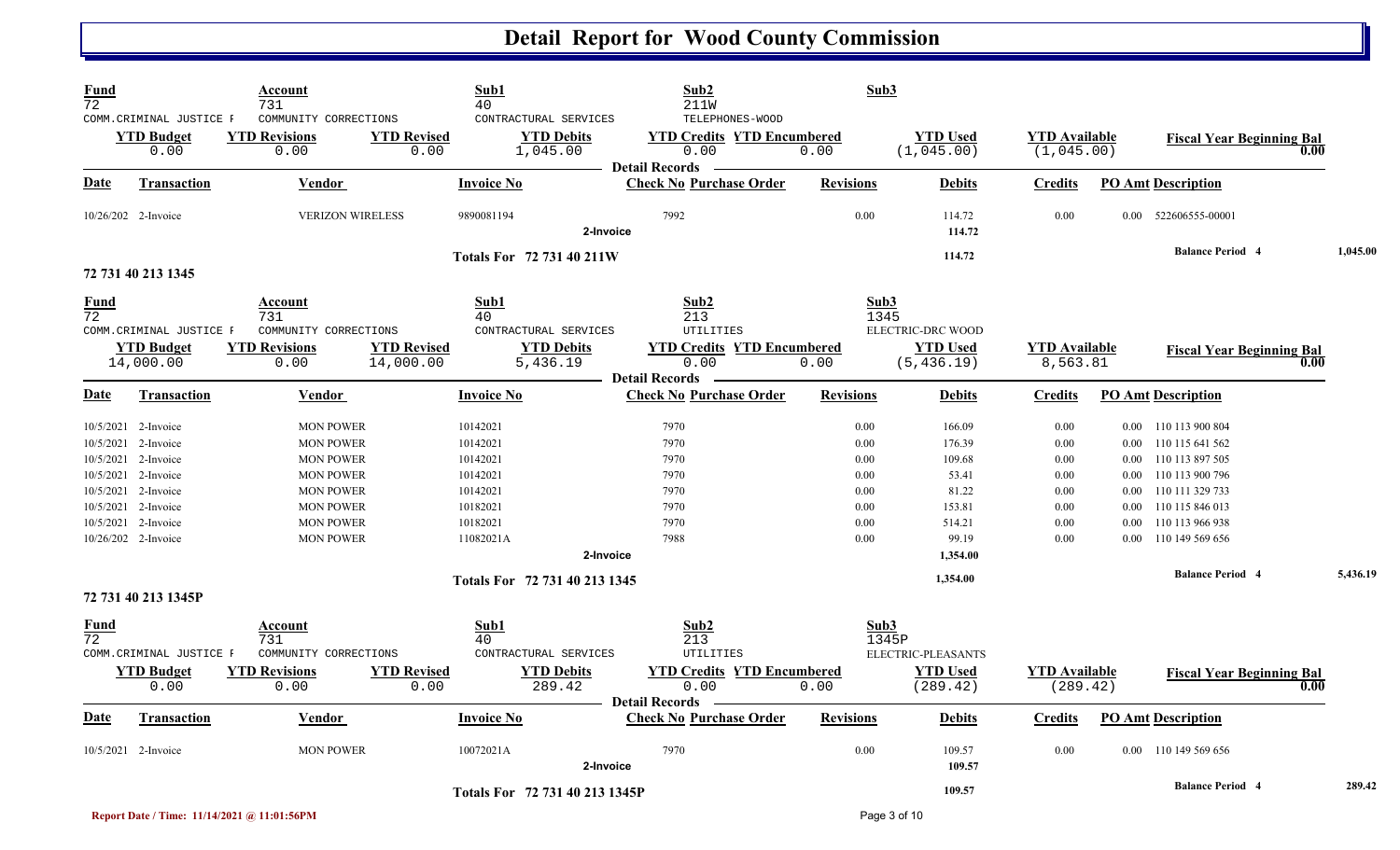| <b>Fund</b><br>$\overline{72}$ |                                                                                          | Account<br>731                                                               |                                 | Sub1<br>40                                             | Sub2<br><b>211W</b>                                                                   | Sub3                         |                                    |                                    |                                  |                                                                          |      |          |
|--------------------------------|------------------------------------------------------------------------------------------|------------------------------------------------------------------------------|---------------------------------|--------------------------------------------------------|---------------------------------------------------------------------------------------|------------------------------|------------------------------------|------------------------------------|----------------------------------|--------------------------------------------------------------------------|------|----------|
|                                | COMM.CRIMINAL JUSTICE F<br><b>YTD Budget</b><br>0.00                                     | COMMUNITY CORRECTIONS<br><b>YTD Revisions</b><br>0.00                        | <b>YTD Revised</b><br>0.00      | CONTRACTURAL SERVICES<br><b>YTD Debits</b><br>1,045.00 | TELEPHONES-WOOD<br><b>YTD Credits YTD Encumbered</b><br>0.00<br><b>Detail Records</b> | 0.00                         | <b>YTD Used</b><br>(1,045.00)      | <b>YTD Available</b><br>(1,045.00) |                                  | <b>Fiscal Year Beginning Bal</b>                                         | 0.00 |          |
| Date                           | <b>Transaction</b>                                                                       | <b>Vendor</b>                                                                |                                 | <b>Invoice No</b>                                      | <b>Check No Purchase Order</b>                                                        | <b>Revisions</b>             | <b>Debits</b>                      | <b>Credits</b>                     |                                  | <b>PO Amt Description</b>                                                |      |          |
|                                | 10/26/202 2-Invoice                                                                      | <b>VERIZON WIRELESS</b>                                                      |                                 | 9890081194                                             | 7992<br>2-Invoice                                                                     | 0.00                         | 114.72<br>114.72                   | 0.00                               | $0.00 -$                         | 522606555-00001                                                          |      |          |
|                                | 72 731 40 213 1345                                                                       |                                                                              |                                 | <b>Totals For 72 731 40 211W</b>                       |                                                                                       |                              | 114.72                             |                                    |                                  | <b>Balance Period 4</b>                                                  |      | 1,045.00 |
| Fund<br>$\overline{72}$        | COMM. CRIMINAL JUSTICE F                                                                 | Account<br>731<br>COMMUNITY CORRECTIONS                                      |                                 | Sub1<br>40<br>CONTRACTURAL SERVICES                    | Sub2<br>213<br>UTILITIES                                                              | Sub3<br>1345                 | ELECTRIC-DRC WOOD                  |                                    |                                  |                                                                          |      |          |
|                                | <b>YTD Budget</b><br>14,000.00                                                           | <b>YTD Revisions</b><br>0.00                                                 | <b>YTD Revised</b><br>14,000.00 | <b>YTD Debits</b><br>5,436.19                          | <b>YTD Credits YTD Encumbered</b><br>0.00<br><b>Detail Records</b>                    | 0.00                         | <b>YTD Used</b><br>(5, 436.19)     | <b>YTD Available</b><br>8,563.81   |                                  | <b>Fiscal Year Beginning Bal</b>                                         | 0.00 |          |
| Date                           | <b>Transaction</b>                                                                       | Vendor                                                                       |                                 | <b>Invoice No</b>                                      | <b>Check No Purchase Order</b>                                                        | <b>Revisions</b>             | <b>Debits</b>                      | <b>Credits</b>                     |                                  | <b>PO Amt Description</b>                                                |      |          |
|                                | 10/5/2021 2-Invoice<br>10/5/2021 2-Invoice<br>10/5/2021 2-Invoice                        | <b>MON POWER</b><br><b>MON POWER</b><br><b>MON POWER</b>                     |                                 | 10142021<br>10142021<br>10142021                       | 7970<br>7970<br>7970                                                                  | 0.00<br>0.00<br>0.00         | 166.09<br>176.39<br>109.68         | 0.00<br>0.00<br>0.00               | 0.00<br>0.00                     | 0.00 110 113 900 804<br>110 115 641 562<br>110 113 897 505               |      |          |
|                                | 10/5/2021 2-Invoice<br>10/5/2021 2-Invoice<br>10/5/2021 2-Invoice<br>10/5/2021 2-Invoice | <b>MON POWER</b><br><b>MON POWER</b><br><b>MON POWER</b><br><b>MON POWER</b> |                                 | 10142021<br>10142021<br>10182021<br>10182021           | 7970<br>7970<br>7970<br>7970                                                          | 0.00<br>0.00<br>0.00<br>0.00 | 53.41<br>81.22<br>153.81<br>514.21 | 0.00<br>0.00<br>0.00<br>0.00       | 0.00<br>0.00<br>$0.00\,$<br>0.00 | 110 113 900 796<br>110 111 329 733<br>110 115 846 013<br>110 113 966 938 |      |          |
|                                | 10/26/202 2-Invoice                                                                      | <b>MON POWER</b>                                                             |                                 | 11082021A                                              | 7988<br>2-Invoice                                                                     | 0.00                         | 99.19<br>1,354.00                  | 0.00                               | 0.00                             | 110 149 569 656<br><b>Balance Period 4</b>                               |      | 5,436.19 |
|                                | 72 731 40 213 1345P                                                                      |                                                                              |                                 | Totals For 72 731 40 213 1345                          |                                                                                       |                              | 1,354.00                           |                                    |                                  |                                                                          |      |          |
| <b>Fund</b><br>72              | COMM. CRIMINAL JUSTICE F                                                                 | Account<br>731<br>COMMUNITY CORRECTIONS                                      |                                 | Sub1<br>40<br>CONTRACTURAL SERVICES                    | Sub2<br>213<br>UTILITIES                                                              | Sub3<br>1345P                | ELECTRIC-PLEASANTS                 |                                    |                                  |                                                                          |      |          |
|                                | <b>YTD Budget</b><br>0.00                                                                | <b>YTD Revisions</b><br>0.00                                                 | <b>YTD Revised</b><br>0.00      | <b>YTD Debits</b><br>289.42                            | <b>YTD Credits YTD Encumbered</b><br>0.00<br><b>Detail Records</b>                    | 0.00                         | <b>YTD Used</b><br>(289.42)        | <b>YTD</b> Available<br>(289.42)   |                                  | <b>Fiscal Year Beginning Bal</b>                                         | 0.00 |          |
| Date                           | Transaction                                                                              | Vendor                                                                       |                                 | <b>Invoice No</b>                                      | <b>Check No Purchase Order</b>                                                        | <b>Revisions</b>             | <b>Debits</b>                      | <b>Credits</b>                     |                                  | <b>PO Amt Description</b>                                                |      |          |
|                                | 10/5/2021 2-Invoice                                                                      | <b>MON POWER</b>                                                             |                                 | 10072021A                                              | 7970<br>2-Invoice                                                                     | 0.00                         | 109.57<br>109.57                   | 0.00                               |                                  | 0.00 110 149 569 656                                                     |      |          |
|                                |                                                                                          |                                                                              |                                 | Totals For 72 731 40 213 1345P                         |                                                                                       |                              | 109.57                             |                                    |                                  | <b>Balance Period 4</b>                                                  |      | 289.42   |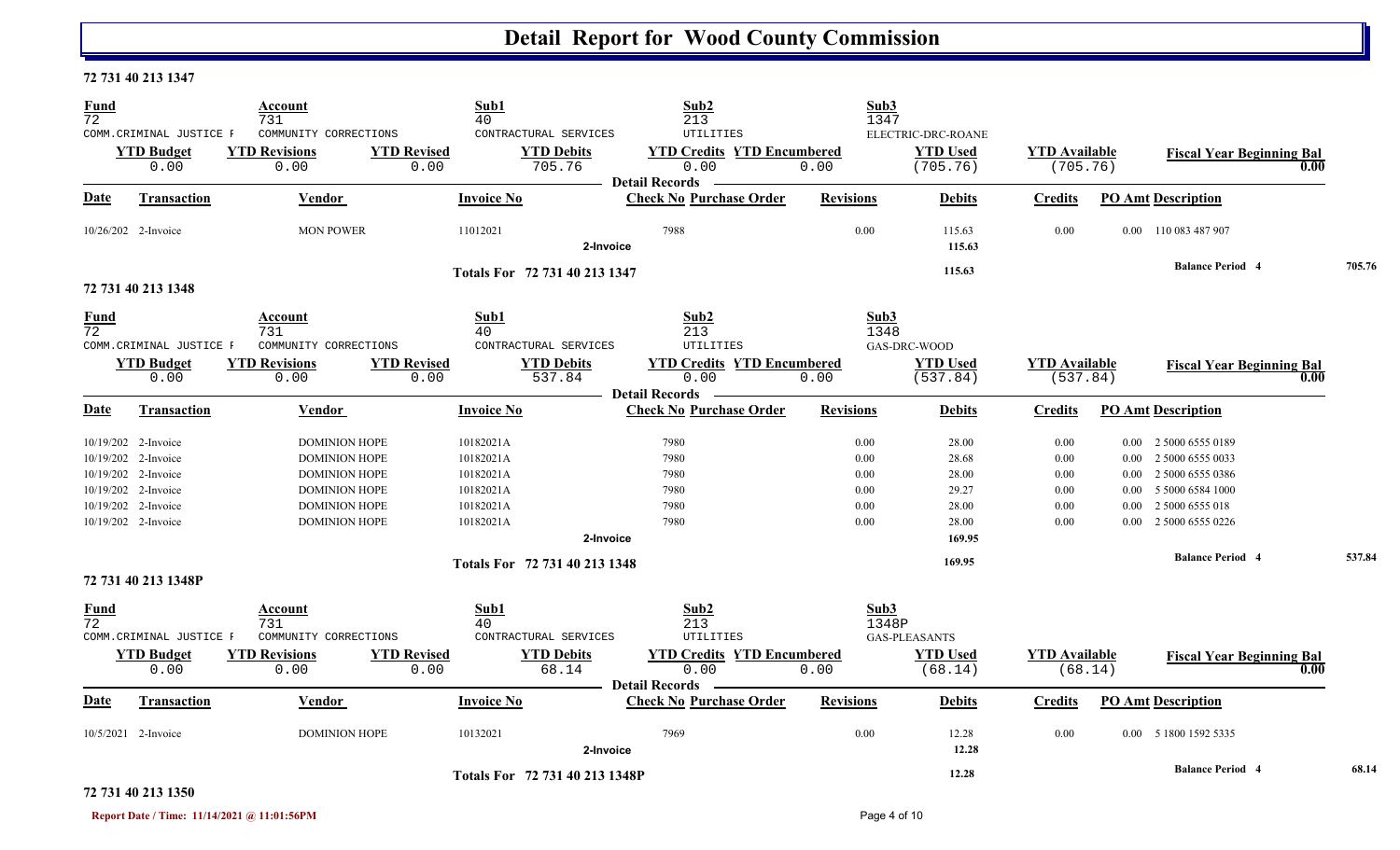#### **72 731 40 213 1347**

| <b>Fund</b><br>$\overline{72}$ |                           | Account<br>731                          |                            | Sub1<br>40                          | Sub <sub>2</sub><br>213                            | Sub3<br>1347     |                             |                                  |          |                                  |      |        |
|--------------------------------|---------------------------|-----------------------------------------|----------------------------|-------------------------------------|----------------------------------------------------|------------------|-----------------------------|----------------------------------|----------|----------------------------------|------|--------|
|                                | COMM. CRIMINAL JUSTICE F  | COMMUNITY CORRECTIONS                   |                            | CONTRACTURAL SERVICES               | UTILITIES                                          |                  | ELECTRIC-DRC-ROANE          |                                  |          |                                  |      |        |
|                                | <b>YTD</b> Budget         | <b>YTD Revisions</b>                    | <b>YTD Revised</b>         | <b>YTD Debits</b>                   | <b>YTD Credits YTD Encumbered</b>                  |                  | <b>YTD Used</b>             | <b>YTD Available</b>             |          | <b>Fiscal Year Beginning Bal</b> |      |        |
|                                | 0.00                      | 0.00                                    | 0.00                       | 705.76                              | 0.00                                               | 0.00             | (705.76)                    | (705.76)                         |          |                                  | 0.00 |        |
| Date                           | <b>Transaction</b>        | Vendor                                  |                            | <b>Invoice No</b>                   | Detail Records —<br><b>Check No Purchase Order</b> | <b>Revisions</b> | <b>Debits</b>               | <b>Credits</b>                   |          | <b>PO Amt Description</b>        |      |        |
|                                | 10/26/202 2-Invoice       | <b>MON POWER</b>                        |                            | 11012021                            | 7988<br>2-Invoice                                  | 0.00             | 115.63<br>115.63            | 0.00                             |          | 0.00 110 083 487 907             |      |        |
|                                | 72 731 40 213 1348        |                                         |                            | Totals For 72 731 40 213 1347       |                                                    |                  | 115.63                      |                                  |          | <b>Balance Period 4</b>          |      | 705.76 |
| <b>Fund</b><br>$\overline{72}$ | COMM. CRIMINAL JUSTICE F  | Account<br>731<br>COMMUNITY CORRECTIONS |                            | Sub1<br>40<br>CONTRACTURAL SERVICES | Sub <sub>2</sub><br>213<br><b>UTILITIES</b>        | Sub3<br>1348     | GAS-DRC-WOOD                |                                  |          |                                  |      |        |
|                                | <b>YTD Budget</b><br>0.00 | <b>YTD Revisions</b><br>0.00            | <b>YTD Revised</b><br>0.00 | <b>YTD Debits</b><br>537.84         | <b>YTD Credits YTD Encumbered</b><br>0.00          | 0.00             | <b>YTD Used</b><br>(537.84) | <b>YTD Available</b><br>(537.84) |          | <b>Fiscal Year Beginning Bal</b> | 0.00 |        |
|                                |                           |                                         |                            |                                     | <b>Detail Records</b>                              |                  |                             |                                  |          |                                  |      |        |
| <b>Date</b>                    | <b>Transaction</b>        | Vendor                                  |                            | <b>Invoice No</b>                   | <b>Check No Purchase Order</b>                     | <b>Revisions</b> | <b>Debits</b>               | <b>Credits</b>                   |          | <b>PO Amt Description</b>        |      |        |
|                                | 10/19/202 2-Invoice       | <b>DOMINION HOPE</b>                    |                            | 10182021A                           | 7980                                               | 0.00             | 28.00                       | 0.00                             |          | 0.00 2 5000 6555 0189            |      |        |
|                                | 10/19/202 2-Invoice       | <b>DOMINION HOPE</b>                    |                            | 10182021A                           | 7980                                               | 0.00             | 28.68                       | 0.00                             |          | 0.00 2 5000 6555 0033            |      |        |
|                                | 10/19/202 2-Invoice       | <b>DOMINION HOPE</b>                    |                            | 10182021A                           | 7980                                               | 0.00             | 28.00                       | 0.00                             |          | 0.00 2 5000 6555 0386            |      |        |
|                                | 10/19/202 2-Invoice       | <b>DOMINION HOPE</b>                    |                            | 10182021A                           | 7980                                               | $0.00\,$         | 29.27                       | $0.00\,$                         | $0.00 -$ | 5 5000 6584 1000                 |      |        |
|                                | 10/19/202 2-Invoice       | <b>DOMINION HOPE</b>                    |                            | 10182021A                           | 7980                                               | 0.00             | 28.00                       | 0.00                             | 0.00     | 2 5000 6555 018                  |      |        |
|                                | 10/19/202 2-Invoice       | <b>DOMINION HOPE</b>                    |                            | 10182021A                           | 7980                                               | 0.00             | 28.00                       | 0.00                             |          | 0.00 2 5000 6555 0226            |      |        |
|                                |                           |                                         |                            |                                     | 2-Invoice                                          |                  | 169.95                      |                                  |          |                                  |      |        |
|                                |                           |                                         |                            | Totals For 72 731 40 213 1348       |                                                    |                  | 169.95                      |                                  |          | <b>Balance Period 4</b>          |      | 537.84 |
|                                | 72 731 40 213 1348P       |                                         |                            |                                     |                                                    |                  |                             |                                  |          |                                  |      |        |
| <b>Fund</b><br>72              | COMM. CRIMINAL JUSTICE F  | Account<br>731<br>COMMUNITY CORRECTIONS |                            | Sub1<br>40<br>CONTRACTURAL SERVICES | Sub2<br>213<br><b>UTILITIES</b>                    | Sub3<br>1348P    | <b>GAS-PLEASANTS</b>        |                                  |          |                                  |      |        |
|                                | <b>YTD Budget</b>         | <b>YTD Revisions</b>                    | <b>YTD Revised</b>         | <b>YTD Debits</b>                   | <b>YTD Credits YTD Encumbered</b>                  |                  | <b>YTD Used</b>             | <b>YTD Available</b>             |          |                                  |      |        |
|                                | 0.00                      | 0.00                                    | 0.00                       | 68.14                               | 0.00                                               | 0.00             | (68.14)                     |                                  | (68.14)  | <b>Fiscal Year Beginning Bal</b> | 0.00 |        |
|                                |                           |                                         |                            |                                     | <b>Detail Records</b>                              |                  |                             |                                  |          |                                  |      |        |
| Date                           | Transaction               | Vendor                                  |                            | <b>Invoice No</b>                   | <b>Check No Purchase Order</b>                     | <b>Revisions</b> | <b>Debits</b>               | <b>Credits</b>                   |          | <b>PO Amt Description</b>        |      |        |
|                                | 10/5/2021 2-Invoice       | <b>DOMINION HOPE</b>                    |                            | 10132021                            | 7969<br>2-Invoice                                  | 0.00             | 12.28<br>12.28              | 0.00                             |          | 0.00 5 1800 1592 5335            |      |        |
|                                |                           |                                         |                            | Totals For 72 731 40 213 1348P      |                                                    |                  | 12.28                       |                                  |          | <b>Balance Period 4</b>          |      | 68.14  |

#### **72 731 40 213 1350**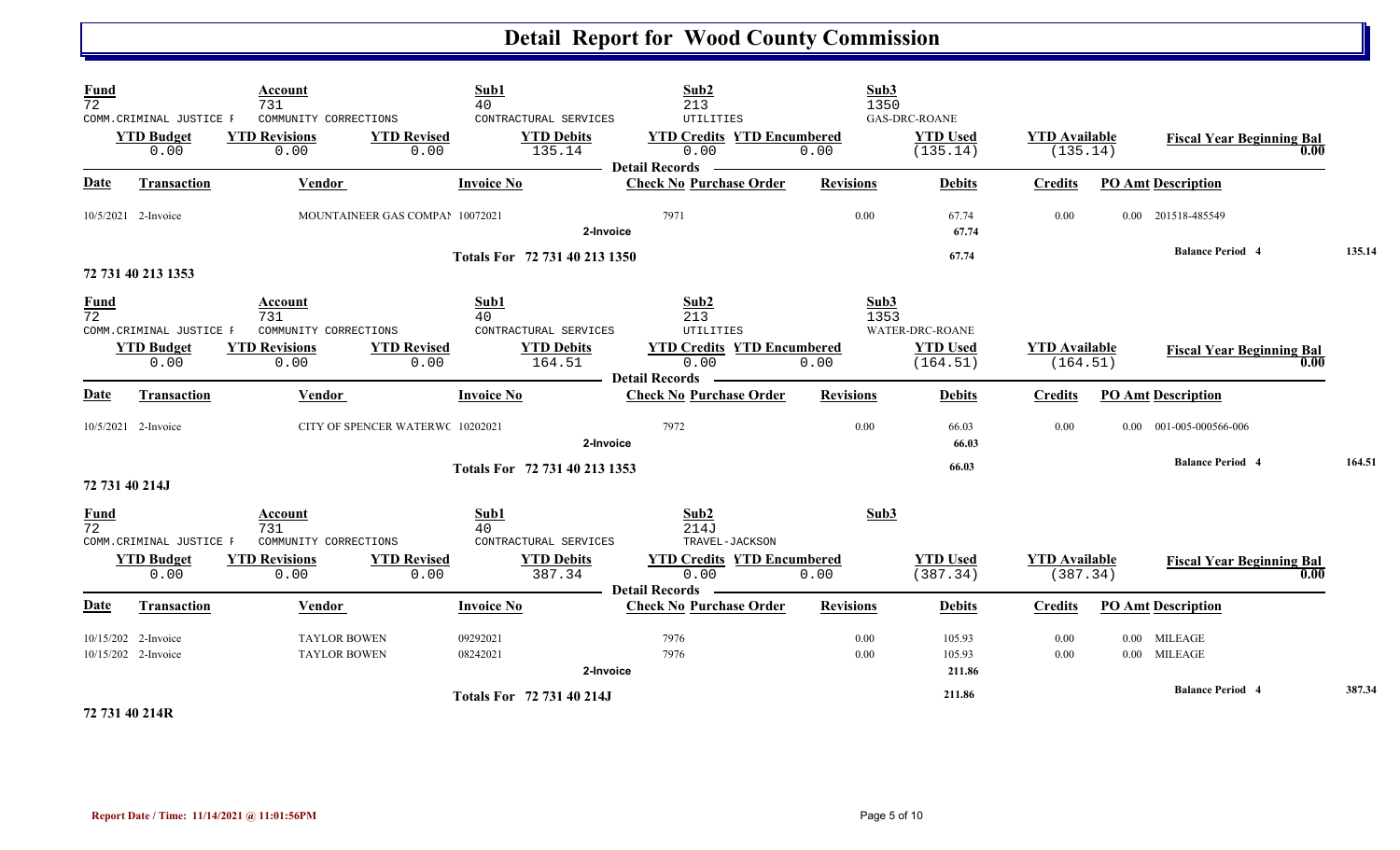| Fund<br>$\overline{72}$ | COMM.CRIMINAL JUSTICE F<br><b>YTD Budget</b><br>0.00 | Account<br>731<br>COMMUNITY CORRECTIONS<br><b>YTD Revisions</b><br>0.00 | Sub1<br>40<br><b>YTD Revised</b><br>0.00 | CONTRACTURAL SERVICES<br><b>YTD Debits</b><br>135.14 | Sub2<br>213<br>UTILITIES<br><b>YTD Credits YTD Encumbered</b><br>0.00 | Sub3<br>1350<br>0.00 | <b>GAS-DRC-ROANE</b><br><b>YTD Used</b><br>(135.14) | <b>YTD</b> Available<br>(135.14) |      | <b>Fiscal Year Beginning Bal</b><br>0.00      |        |
|-------------------------|------------------------------------------------------|-------------------------------------------------------------------------|------------------------------------------|------------------------------------------------------|-----------------------------------------------------------------------|----------------------|-----------------------------------------------------|----------------------------------|------|-----------------------------------------------|--------|
| <b>Date</b>             | <b>Transaction</b>                                   | <b>Vendor</b>                                                           | <b>Invoice No</b>                        |                                                      | <b>Detail Records</b><br><b>Check No Purchase Order</b>               | <b>Revisions</b>     | <b>Debits</b>                                       | <b>Credits</b>                   |      | <b>PO Amt Description</b>                     |        |
|                         | 10/5/2021 2-Invoice                                  |                                                                         | MOUNTAINEER GAS COMPAI 10072021          | 2-Invoice                                            | 7971                                                                  | 0.00                 | 67.74<br>67.74                                      | 0.00                             |      | 0.00 201518-485549                            |        |
|                         |                                                      |                                                                         |                                          | Totals For 72 731 40 213 1350                        |                                                                       |                      | 67.74                                               |                                  |      | <b>Balance Period 4</b>                       | 135.14 |
|                         | 72 731 40 213 1353                                   |                                                                         |                                          |                                                      |                                                                       |                      |                                                     |                                  |      |                                               |        |
| <b>Fund</b><br>72       | COMM.CRIMINAL JUSTICE F<br><b>YTD Budget</b><br>0.00 | Account<br>731<br>COMMUNITY CORRECTIONS<br><b>YTD Revisions</b><br>0.00 | Sub1<br>40<br><b>YTD Revised</b><br>0.00 | CONTRACTURAL SERVICES<br><b>YTD Debits</b><br>164.51 | Sub2<br>213<br>UTILITIES<br><b>YTD Credits YTD Encumbered</b><br>0.00 | Sub3<br>1353<br>0.00 | WATER-DRC-ROANE<br><b>YTD Used</b><br>(164.51)      | <b>YTD Available</b><br>(164.51) |      | <b>Fiscal Year Beginning Bal</b><br>0.00      |        |
| Date                    | <b>Transaction</b>                                   | Vendor                                                                  | <b>Invoice No</b>                        |                                                      | <b>Detail Records</b><br><b>Check No Purchase Order</b>               | <b>Revisions</b>     | <b>Debits</b>                                       | <b>Credits</b>                   |      | <b>PO Amt Description</b>                     |        |
|                         | 10/5/2021 2-Invoice                                  |                                                                         | CITY OF SPENCER WATERWC 10202021         | 2-Invoice                                            | 7972                                                                  | 0.00                 | 66.03<br>66.03                                      | 0.00                             | 0.00 | 001-005-000566-006<br><b>Balance Period 4</b> | 164.51 |
|                         | 72 731 40 214J                                       |                                                                         |                                          | Totals For 72 731 40 213 1353                        |                                                                       |                      | 66.03                                               |                                  |      |                                               |        |
| $\frac{Fund}{72}$       | COMM.CRIMINAL JUSTICE F                              | Account<br>731<br>COMMUNITY CORRECTIONS                                 | Sub1<br>40                               | CONTRACTURAL SERVICES                                | Sub2<br>214J<br>TRAVEL-JACKSON                                        | Sub3                 |                                                     |                                  |      |                                               |        |
|                         | <b>YTD Budget</b><br>0.00                            | <b>YTD Revisions</b><br>0.00                                            | <b>YTD Revised</b><br>0.00               | <b>YTD Debits</b><br>387.34                          | <b>YTD Credits YTD Encumbered</b><br>0.00<br><b>Detail Records</b>    | 0.00                 | <b>YTD Used</b><br>(387.34)                         | <b>YTD Available</b><br>(387.34) |      | <b>Fiscal Year Beginning Bal</b><br>0.00      |        |
| <b>Date</b>             | <b>Transaction</b>                                   | Vendor                                                                  | <b>Invoice No</b>                        |                                                      | <b>Check No Purchase Order</b>                                        | <b>Revisions</b>     | <b>Debits</b>                                       | <b>Credits</b>                   |      | <b>PO Amt Description</b>                     |        |
|                         | 10/15/202 2-Invoice<br>10/15/202 2-Invoice           | <b>TAYLOR BOWEN</b><br><b>TAYLOR BOWEN</b>                              | 09292021<br>08242021                     | 2-Invoice                                            | 7976<br>7976                                                          | 0.00<br>0.00         | 105.93<br>105.93<br>211.86                          | 0.00<br>0.00                     |      | 0.00 MILEAGE<br>0.00 MILEAGE                  |        |
|                         | $-0.1$ $-0.0$ $-0.1$                                 |                                                                         |                                          | Totals For 72 731 40 214J                            |                                                                       |                      | 211.86                                              |                                  |      | <b>Balance Period 4</b>                       | 387.34 |

**72 731 40 214R**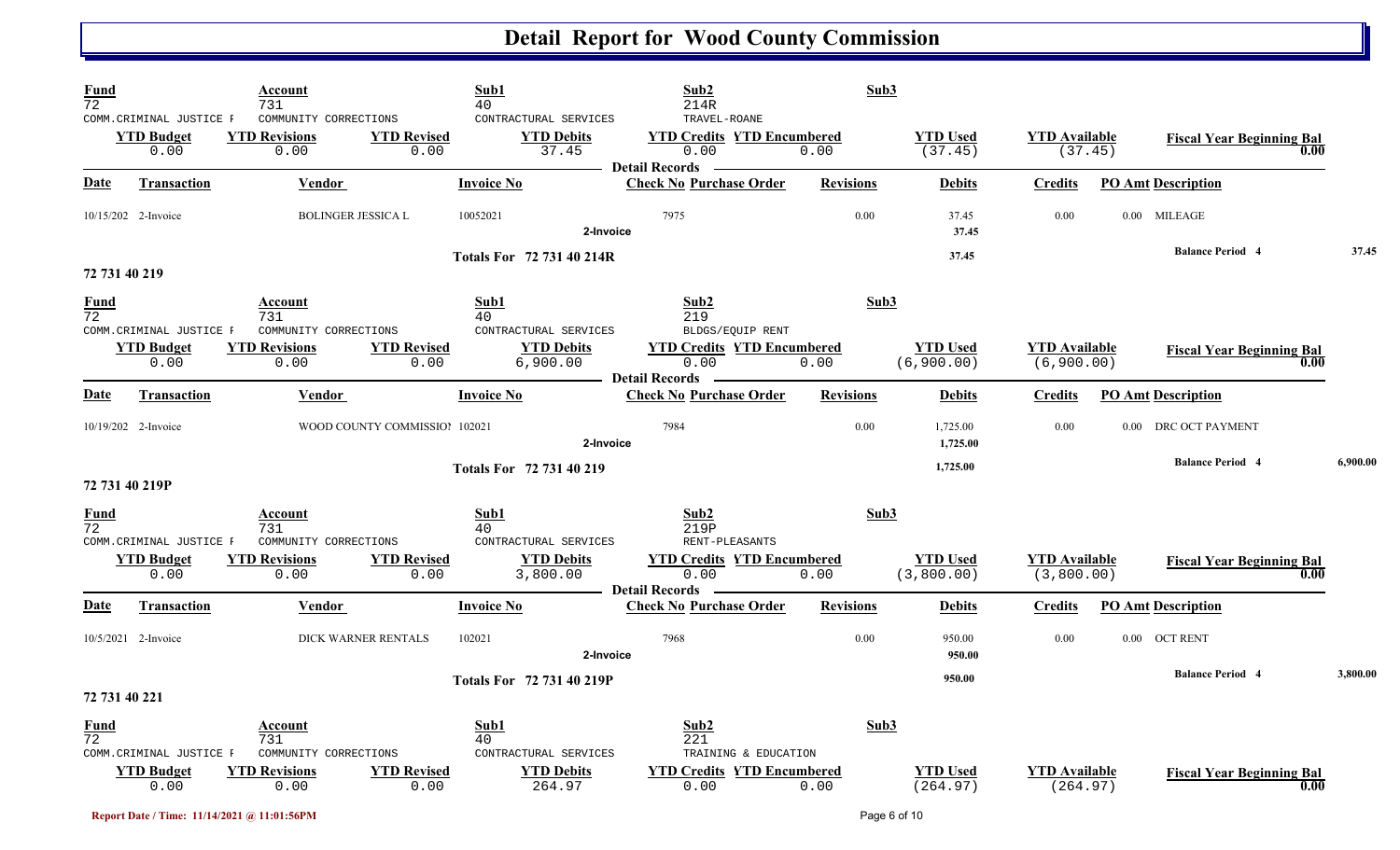| $\frac{Fund}{72}$              |                                                       | Account<br>731                                        |                               | Sub1<br>40                                             | Sub2<br>214R                                                  | Sub3             |                               |                                    |                                          |          |
|--------------------------------|-------------------------------------------------------|-------------------------------------------------------|-------------------------------|--------------------------------------------------------|---------------------------------------------------------------|------------------|-------------------------------|------------------------------------|------------------------------------------|----------|
|                                | COMM.CRIMINAL JUSTICE F<br><b>YTD Budget</b><br>0.00  | COMMUNITY CORRECTIONS<br><b>YTD Revisions</b><br>0.00 | <b>YTD Revised</b><br>0.00    | CONTRACTURAL SERVICES<br><b>YTD Debits</b><br>37.45    | TRAVEL-ROANE<br><b>YTD Credits YTD Encumbered</b><br>0.00     | 0.00             | <b>YTD Used</b><br>(37.45)    | <b>YTD</b> Available<br>(37.45)    | <b>Fiscal Year Beginning Bal</b><br>0.00 |          |
| <b>Date</b>                    | <b>Transaction</b>                                    | Vendor                                                |                               | <b>Invoice No</b>                                      | <b>Detail Records</b><br><b>Check No Purchase Order</b>       | <b>Revisions</b> | <b>Debits</b>                 | <b>Credits</b>                     | <b>PO Amt Description</b>                |          |
|                                | 10/15/202 2-Invoice                                   | <b>BOLINGER JESSICA L</b>                             |                               | 10052021<br>2-Invoice                                  | 7975                                                          | 0.00             | 37.45<br>37.45                | 0.00                               | 0.00 MILEAGE                             |          |
|                                | 72 731 40 219                                         |                                                       |                               | <b>Totals For 72 731 40 214R</b>                       |                                                               |                  | 37.45                         |                                    | <b>Balance Period 4</b>                  | 37.45    |
| <b>Fund</b><br>$\overline{72}$ |                                                       | Account<br>731                                        |                               | Sub1<br>40                                             | Sub2<br>219                                                   | Sub3             |                               |                                    |                                          |          |
|                                | COMM. CRIMINAL JUSTICE F<br><b>YTD Budget</b><br>0.00 | COMMUNITY CORRECTIONS<br><b>YTD Revisions</b><br>0.00 | <b>YTD Revised</b><br>0.00    | CONTRACTURAL SERVICES<br><b>YTD Debits</b><br>6,900.00 | BLDGS/EQUIP RENT<br><b>YTD Credits YTD Encumbered</b><br>0.00 | 0.00             | <b>YTD Used</b><br>(6,900.00) | <b>YTD</b> Available<br>(6,900.00) | <b>Fiscal Year Beginning Bal</b><br>0.00 |          |
| Date                           | <b>Transaction</b>                                    | <b>Vendor</b>                                         |                               | <b>Invoice No</b>                                      | <b>Detail Records</b><br><b>Check No Purchase Order</b>       | <b>Revisions</b> | <b>Debits</b>                 | <b>Credits</b>                     | <b>PO Amt Description</b>                |          |
|                                | 10/19/202 2-Invoice                                   |                                                       | WOOD COUNTY COMMISSIO! 102021 | 2-Invoice                                              | 7984                                                          | 0.00             | 1,725.00<br>1,725.00          | 0.00                               | 0.00 DRC OCT PAYMENT                     |          |
|                                | 72 731 40 219P                                        |                                                       |                               | Totals For 72 731 40 219                               |                                                               |                  | 1,725.00                      |                                    | <b>Balance Period 4</b>                  | 6,900.00 |
| <u>Fund</u><br>72              |                                                       | Account<br>731                                        |                               | Sub1<br>40                                             | Sub <sub>2</sub><br>219P                                      | Sub3             |                               |                                    |                                          |          |
|                                | COMM.CRIMINAL JUSTICE F<br><b>YTD Budget</b><br>0.00  | COMMUNITY CORRECTIONS<br><b>YTD Revisions</b><br>0.00 | <b>YTD Revised</b><br>0.00    | CONTRACTURAL SERVICES<br><b>YTD Debits</b><br>3,800.00 | RENT-PLEASANTS<br><b>YTD Credits YTD Encumbered</b><br>0.00   | 0.00             | <b>YTD Used</b><br>(3,800.00) | <b>YTD</b> Available<br>(3,800.00) | <b>Fiscal Year Beginning Bal</b><br>0.00 |          |
| <b>Date</b>                    | <b>Transaction</b>                                    | <b>Vendor</b>                                         |                               | <b>Invoice No</b>                                      | <b>Detail Records</b><br><b>Check No Purchase Order</b>       | <b>Revisions</b> | <b>Debits</b>                 | <b>Credits</b>                     | <b>PO Amt Description</b>                |          |
|                                | 10/5/2021 2-Invoice                                   |                                                       | DICK WARNER RENTALS           | 102021<br>2-Invoice                                    | 7968                                                          | 0.00             | 950.00<br>950.00              | 0.00                               | 0.00 OCT RENT                            |          |
|                                | 72 731 40 221                                         |                                                       |                               | Totals For 72 731 40 219P                              |                                                               |                  | 950.00                        |                                    | <b>Balance Period 4</b>                  | 3,800.00 |
| Fund<br>$\overline{72}$        | COMM.CRIMINAL JUSTICE F                               | Account<br>731<br>COMMUNITY CORRECTIONS               |                               | Sub1<br>40<br>CONTRACTURAL SERVICES                    | Sub <sub>2</sub><br>221<br>TRAINING & EDUCATION               | Sub3             |                               |                                    |                                          |          |
|                                | <b>YTD Budget</b><br>0.00                             | <b>YTD Revisions</b><br>0.00                          | <b>YTD Revised</b><br>0.00    | <b>YTD Debits</b><br>264.97                            | <b>YTD Credits YTD Encumbered</b><br>0.00                     | 0.00             | <b>YTD</b> Used<br>(264.97)   | <b>YTD Available</b><br>(264.97)   | <b>Fiscal Year Beginning Bal</b><br>0.00 |          |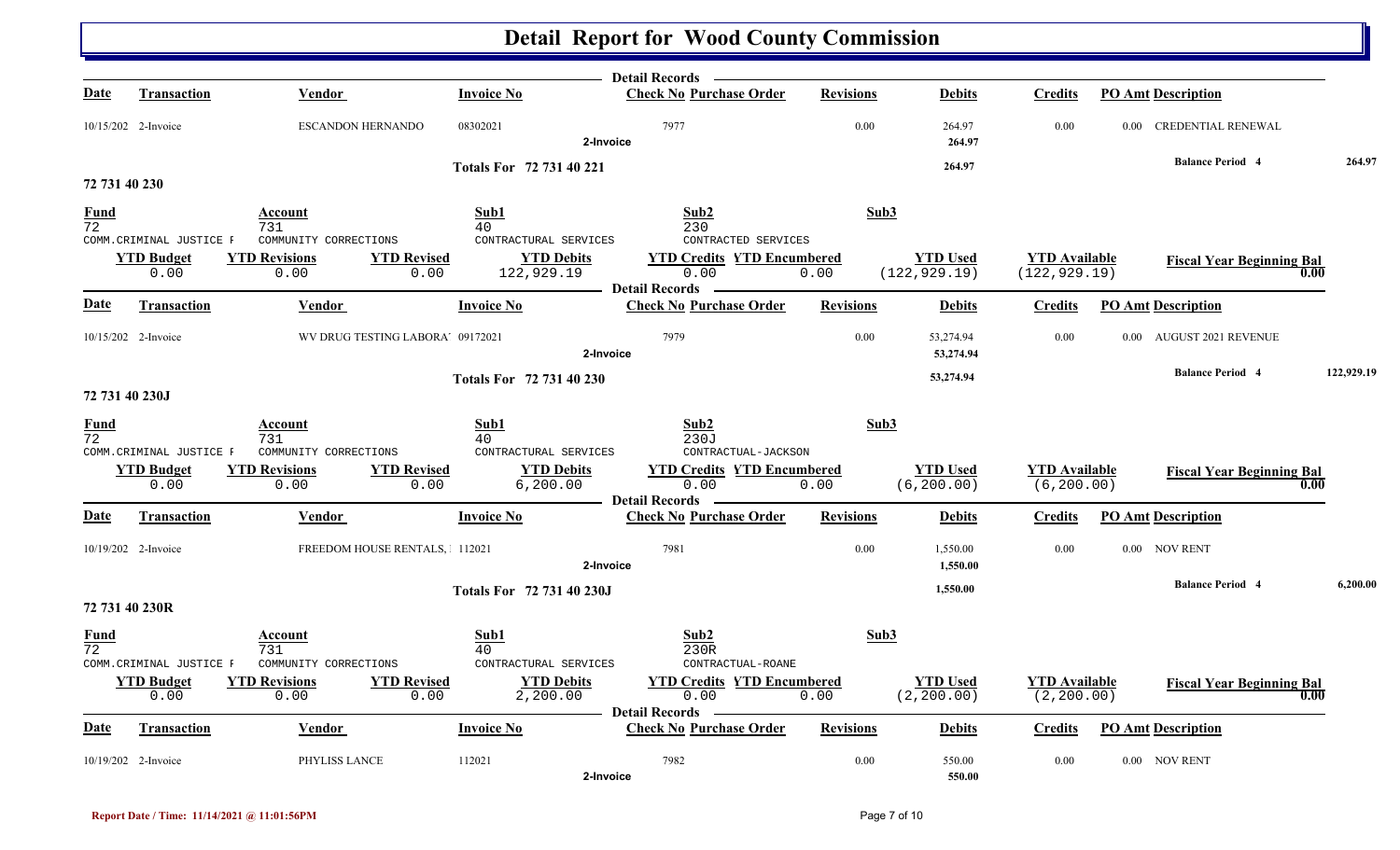|                                |                                                      |                                                                             |                                                                  | Detail Records —                                                   |                  |                                  |                                       |                                  |            |
|--------------------------------|------------------------------------------------------|-----------------------------------------------------------------------------|------------------------------------------------------------------|--------------------------------------------------------------------|------------------|----------------------------------|---------------------------------------|----------------------------------|------------|
| <u>Date</u>                    | Transaction                                          | Vendor                                                                      | <b>Invoice No</b>                                                | <b>Check No Purchase Order</b>                                     | <b>Revisions</b> | <b>Debits</b>                    | <b>Credits</b>                        | <b>PO Amt Description</b>        |            |
|                                | 10/15/202 2-Invoice                                  | ESCANDON HERNANDO                                                           | 08302021                                                         | 7977<br>2-Invoice                                                  | 0.00             | 264.97<br>264.97                 | 0.00                                  | 0.00 CREDENTIAL RENEWAL          |            |
|                                |                                                      |                                                                             | Totals For 72 731 40 221                                         |                                                                    |                  | 264.97                           |                                       | <b>Balance Period 4</b>          | 264.97     |
| 72 731 40 230                  |                                                      |                                                                             |                                                                  |                                                                    |                  |                                  |                                       |                                  |            |
| <u>Fund</u><br>$\overline{72}$ |                                                      | Account<br>731                                                              | Sub1<br>40                                                       | Sub <sub>2</sub><br>230                                            | Sub3             |                                  |                                       |                                  |            |
|                                | COMM.CRIMINAL JUSTICE F<br><b>YTD Budget</b><br>0.00 | COMMUNITY CORRECTIONS<br><b>YTD Revisions</b><br><b>YTD Revised</b><br>0.00 | CONTRACTURAL SERVICES<br><b>YTD Debits</b><br>122,929.19<br>0.00 | CONTRACTED SERVICES<br><b>YTD Credits YTD Encumbered</b><br>0.00   | 0.00             | <b>YTD Used</b><br>(122, 929.19) | <b>YTD</b> Available<br>(122, 929.19) | <b>Fiscal Year Beginning Bal</b> | 0.00       |
| Date                           | <b>Transaction</b>                                   | Vendor                                                                      | <b>Invoice No</b>                                                | <b>Check No Purchase Order</b>                                     | <b>Revisions</b> | <b>Debits</b>                    | <b>Credits</b>                        | <b>PO Amt Description</b>        |            |
|                                | 10/15/202 2-Invoice                                  | WV DRUG TESTING LABORA' 09172021                                            |                                                                  | 7979<br>2-Invoice                                                  | 0.00             | 53,274.94<br>53,274.94           | 0.00                                  | 0.00 AUGUST 2021 REVENUE         |            |
|                                | 72 731 40 230J                                       |                                                                             | Totals For 72 731 40 230                                         |                                                                    |                  | 53,274.94                        |                                       | <b>Balance Period 4</b>          | 122,929.19 |
| <u>Fund</u><br>$\overline{72}$ | COMM.CRIMINAL JUSTICE F                              | Account<br>731<br>COMMUNITY CORRECTIONS                                     | Sub1<br>40<br>CONTRACTURAL SERVICES                              | Sub2<br>230J<br>CONTRACTUAL-JACKSON                                | Sub3             |                                  |                                       |                                  |            |
|                                | <b>YTD Budget</b><br>0.00                            | <b>YTD Revisions</b><br><b>YTD Revised</b><br>0.00                          | <b>YTD Debits</b><br>6, 200.00<br>0.00                           | <b>YTD Credits YTD Encumbered</b><br>0.00<br><b>Detail Records</b> | 0.00             | <b>YTD Used</b><br>(6, 200.00)   | <b>YTD</b> Available<br>(6, 200.00)   | <b>Fiscal Year Beginning Bal</b> | 0.00       |
| <b>Date</b>                    | <b>Transaction</b>                                   | <b>Vendor</b>                                                               | <b>Invoice No</b>                                                | <b>Check No Purchase Order</b>                                     | <b>Revisions</b> | <b>Debits</b>                    | <b>Credits</b>                        | <b>PO Amt Description</b>        |            |
|                                | 10/19/202 2-Invoice                                  | FREEDOM HOUSE RENTALS, 112021                                               |                                                                  | 7981<br>2-Invoice                                                  | 0.00             | 1,550.00<br>1,550.00             | 0.00                                  | 0.00 NOV RENT                    |            |
|                                | 72 731 40 230R                                       |                                                                             | Totals For 72 731 40 230J                                        |                                                                    |                  | 1,550.00                         |                                       | <b>Balance Period 4</b>          | 6,200.00   |
| <u>Fund</u><br>72              | COMM.CRIMINAL JUSTICE F                              | Account<br>731<br>COMMUNITY CORRECTIONS                                     | Sub1<br>40<br>CONTRACTURAL SERVICES                              | Sub <sub>2</sub><br>230R<br>CONTRACTUAL-ROANE                      | Sub3             |                                  |                                       |                                  |            |
|                                | <b>YTD Budget</b><br>0.00                            | <b>YTD Revisions</b><br><b>YTD Revised</b><br>0.00                          | <b>YTD Debits</b><br>0.00<br>2,200.00                            | <b>YTD Credits YTD Encumbered</b><br>0.00<br><b>Detail Records</b> | 0.00             | <b>YTD Used</b><br>(2, 200.00)   | <b>YTD</b> Available<br>(2, 200.00)   | <b>Fiscal Year Beginning Bal</b> | 0.00       |
| <u>Date</u>                    | Transaction                                          | Vendor                                                                      | <b>Invoice No</b>                                                | <b>Check No Purchase Order</b>                                     | <b>Revisions</b> | <b>Debits</b>                    | <b>Credits</b>                        | <b>PO Amt Description</b>        |            |
|                                | 10/19/202 2-Invoice                                  | PHYLISS LANCE                                                               | 112021                                                           | 7982<br>2-Invoice                                                  | 0.00             | 550.00<br>550.00                 | 0.00                                  | 0.00 NOV RENT                    |            |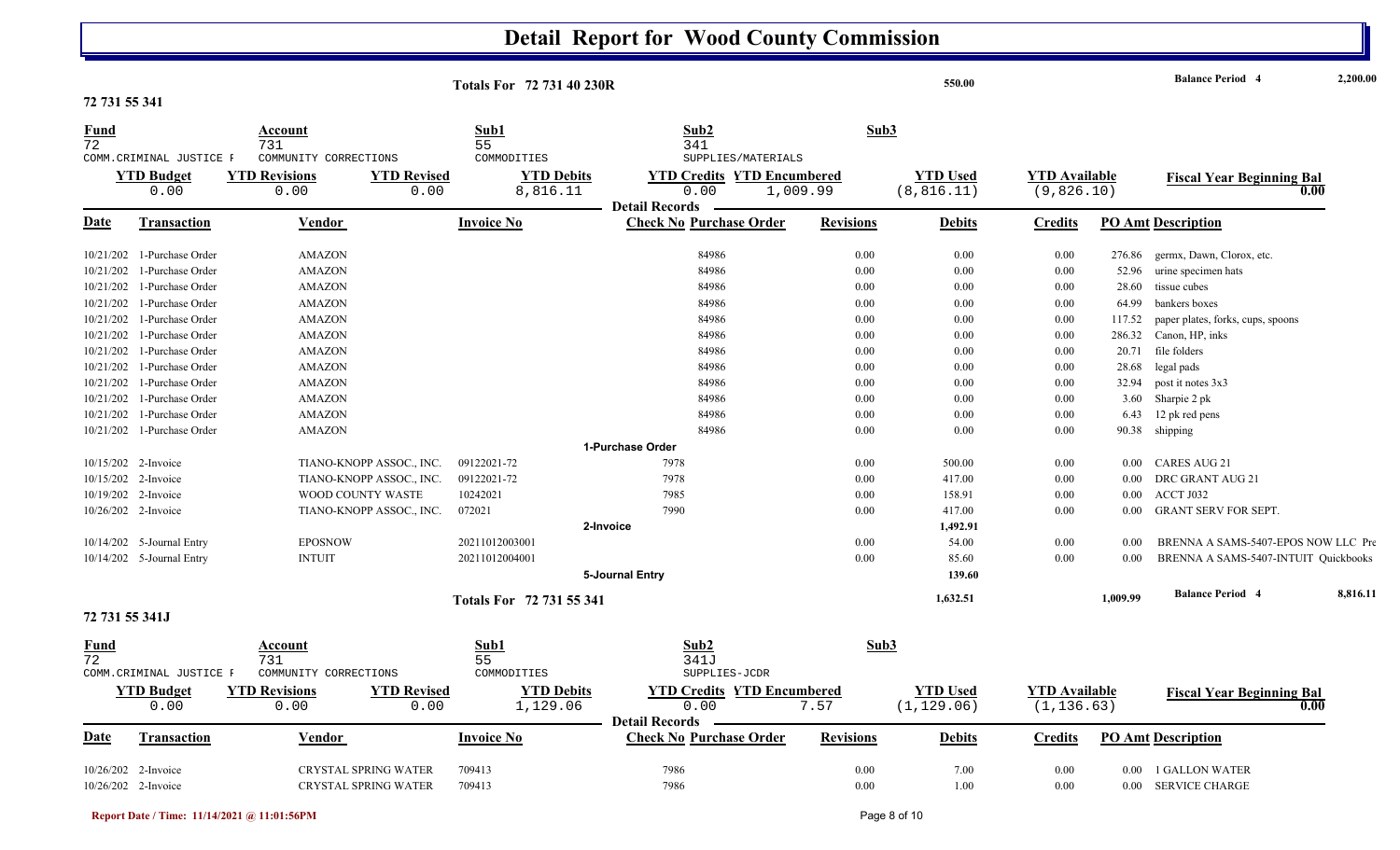| 72 731 55 341                  |                                                      |                                                                             | <b>Totals For 72 731 40 230R</b>                     |                                                                    |                  | 550.00                         |                                     |          | <b>Balance Period 4</b>              | 2,200.00 |
|--------------------------------|------------------------------------------------------|-----------------------------------------------------------------------------|------------------------------------------------------|--------------------------------------------------------------------|------------------|--------------------------------|-------------------------------------|----------|--------------------------------------|----------|
| <u>Fund</u><br>$\overline{72}$ |                                                      | Account<br>731                                                              | Sub1<br>55                                           | Sub2<br>341                                                        | Sub3             |                                |                                     |          |                                      |          |
|                                | COMM.CRIMINAL JUSTICE F<br><b>YTD Budget</b><br>0.00 | COMMUNITY CORRECTIONS<br><b>YTD Revisions</b><br><b>YTD Revised</b><br>0.00 | COMMODITIES<br><b>YTD Debits</b><br>8,816.11<br>0.00 | SUPPLIES/MATERIALS<br><b>YTD Credits YTD Encumbered</b><br>0.00    | 1,009.99         | <b>YTD</b> Used<br>(8, 816.11) | <b>YTD</b> Available<br>(9,826.10)  |          | <b>Fiscal Year Beginning Bal</b>     | 0.00     |
| Date                           | <b>Transaction</b>                                   | Vendor                                                                      | <b>Invoice No</b>                                    | <b>Detail Records</b><br><b>Check No Purchase Order</b>            | <b>Revisions</b> | <b>Debits</b>                  | Credits                             |          | <b>PO Amt Description</b>            |          |
|                                | 10/21/202 1-Purchase Order                           | <b>AMAZON</b>                                                               |                                                      | 84986                                                              | 0.00             | 0.00                           | 0.00                                | 276.86   | germx, Dawn, Clorox, etc.            |          |
| 10/21/202                      | 1-Purchase Order                                     | <b>AMAZON</b>                                                               |                                                      | 84986                                                              | 0.00             | 0.00                           | 0.00                                | 52.96    | urine specimen hats                  |          |
| 10/21/202                      | 1-Purchase Order                                     | <b>AMAZON</b>                                                               |                                                      | 84986                                                              | 0.00             | 0.00                           | 0.00                                | 28.60    | tissue cubes                         |          |
| 10/21/202                      | 1-Purchase Order                                     | <b>AMAZON</b>                                                               |                                                      | 84986                                                              | 0.00             | 0.00                           | 0.00                                | 64.99    | bankers boxes                        |          |
| 10/21/202                      | 1-Purchase Order                                     | <b>AMAZON</b>                                                               |                                                      | 84986                                                              | 0.00             | 0.00                           | 0.00                                | 117.52   | paper plates, forks, cups, spoons    |          |
| 10/21/202                      | 1-Purchase Order                                     | <b>AMAZON</b>                                                               |                                                      | 84986                                                              | 0.00             | 0.00                           | 0.00                                |          | 286.32 Canon, HP, inks               |          |
| 10/21/202                      | 1-Purchase Order                                     | <b>AMAZON</b>                                                               |                                                      | 84986                                                              | 0.00             | 0.00                           | 0.00                                | 20.71    | file folders                         |          |
|                                | 10/21/202 1-Purchase Order                           | <b>AMAZON</b>                                                               |                                                      | 84986                                                              | 0.00             | 0.00                           | 0.00                                | 28.68    | legal pads                           |          |
|                                | 10/21/202 1-Purchase Order                           | <b>AMAZON</b>                                                               |                                                      | 84986                                                              | 0.00             | 0.00                           | 0.00                                | 32.94    | post it notes 3x3                    |          |
| 10/21/202                      | 1-Purchase Order                                     | <b>AMAZON</b>                                                               |                                                      | 84986                                                              | 0.00             | 0.00                           | 0.00                                |          | 3.60 Sharpie 2 pk                    |          |
| 10/21/202                      | 1-Purchase Order                                     | <b>AMAZON</b>                                                               |                                                      | 84986                                                              | 0.00             | 0.00                           | 0.00                                |          | 6.43 12 pk red pens                  |          |
|                                | 10/21/202 1-Purchase Order                           | <b>AMAZON</b>                                                               |                                                      | 84986                                                              | 0.00             | 0.00                           | 0.00                                |          | 90.38 shipping                       |          |
|                                |                                                      |                                                                             |                                                      | 1-Purchase Order                                                   |                  |                                |                                     |          |                                      |          |
|                                | 10/15/202 2-Invoice                                  | TIANO-KNOPP ASSOC., INC.                                                    | 09122021-72                                          | 7978                                                               | 0.00             | 500.00                         | 0.00                                | $0.00\,$ | CARES AUG 21                         |          |
|                                | 10/15/202 2-Invoice                                  | TIANO-KNOPP ASSOC., INC.                                                    | 09122021-72                                          | 7978                                                               | 0.00             | 417.00                         | 0.00                                | 0.00     | DRC GRANT AUG 21                     |          |
|                                | 10/19/202 2-Invoice                                  | WOOD COUNTY WASTE                                                           | 10242021                                             | 7985                                                               | 0.00             | 158.91                         | 0.00                                | $0.00\,$ | ACCT J032                            |          |
|                                | 10/26/202 2-Invoice                                  | TIANO-KNOPP ASSOC., INC.                                                    | 072021                                               | 7990                                                               | 0.00             | 417.00                         | 0.00                                | $0.00\,$ | <b>GRANT SERV FOR SEPT.</b>          |          |
|                                |                                                      |                                                                             |                                                      | 2-Invoice                                                          |                  | 1,492.91                       |                                     |          |                                      |          |
|                                | 10/14/202 5-Journal Entry                            | <b>EPOSNOW</b>                                                              | 20211012003001                                       |                                                                    | 0.00             | 54.00                          | 0.00                                | 0.00     | BRENNA A SAMS-5407-EPOS NOW LLC Pre  |          |
|                                | 10/14/202 5-Journal Entry                            | <b>INTUIT</b>                                                               | 20211012004001                                       |                                                                    | 0.00             | 85.60                          | 0.00                                | 0.00     | BRENNA A SAMS-5407-INTUIT Quickbooks |          |
|                                |                                                      |                                                                             |                                                      | 5-Journal Entry                                                    |                  | 139.60                         |                                     |          |                                      |          |
|                                |                                                      |                                                                             | Totals For 72 731 55 341                             |                                                                    |                  | 1,632.51                       |                                     | 1.009.99 | <b>Balance Period 4</b>              | 8,816.11 |
| 72 731 55 341J                 |                                                      |                                                                             |                                                      |                                                                    |                  |                                |                                     |          |                                      |          |
| <u>Fund</u><br>72              | COMM.CRIMINAL JUSTICE F                              | Account<br>731<br>COMMUNITY CORRECTIONS                                     | Sub1<br>55<br>COMMODITIES                            | Sub <sub>2</sub><br>341J<br>SUPPLIES-JCDR                          | Sub3             |                                |                                     |          |                                      |          |
|                                | <b>YTD Budget</b><br>0.00                            | <b>YTD Revisions</b><br><b>YTD Revised</b><br>0.00                          | <b>YTD Debits</b><br>0.00<br>1,129.06                | <b>YTD Credits YTD Encumbered</b><br>0.00<br><b>Detail Records</b> | 7.57             | <b>YTD</b> Used<br>(1, 129.06) | <b>YTD Available</b><br>(1, 136.63) |          | <b>Fiscal Year Beginning Bal</b>     | 0.00     |
| <u>Date</u>                    | <b>Transaction</b>                                   | Vendor                                                                      | <b>Invoice No</b>                                    | <b>Check No Purchase Order</b>                                     | <b>Revisions</b> | <b>Debits</b>                  | Credits                             |          | <b>PO Amt Description</b>            |          |
|                                | 10/26/202 2-Invoice                                  | <b>CRYSTAL SPRING WATER</b>                                                 | 709413                                               | 7986                                                               | 0.00             | 7.00                           | 0.00                                | 0.00     | 1 GALLON WATER                       |          |
|                                | 10/26/202 2-Invoice                                  | CRYSTAL SPRING WATER                                                        | 709413                                               | 7986                                                               | 0.00             | 1.00                           | 0.00                                |          | 0.00 SERVICE CHARGE                  |          |
|                                |                                                      |                                                                             |                                                      |                                                                    |                  |                                |                                     |          |                                      |          |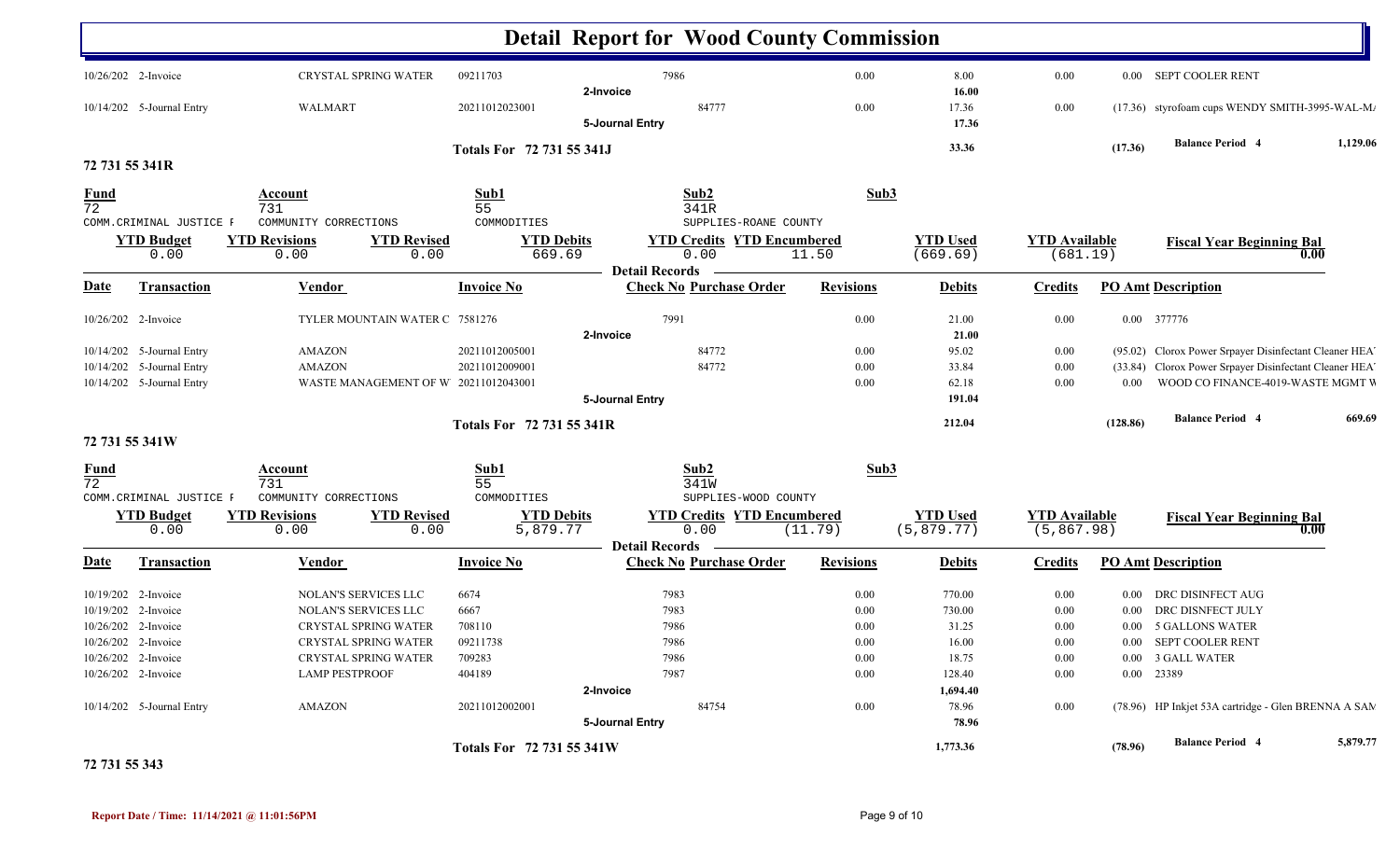|                   |                                                                                          |                                         |                                |                           |                       | <b>Detail Report for Wood County Commission</b> |                  |                 |                      |          |                                                        |          |
|-------------------|------------------------------------------------------------------------------------------|-----------------------------------------|--------------------------------|---------------------------|-----------------------|-------------------------------------------------|------------------|-----------------|----------------------|----------|--------------------------------------------------------|----------|
|                   | 10/26/202 2-Invoice                                                                      |                                         | CRYSTAL SPRING WATER           | 09211703                  | 2-Invoice             | 7986                                            | $0.00\,$         | 8.00<br>16.00   | 0.00                 |          | 0.00 SEPT COOLER RENT                                  |          |
|                   | 10/14/202 5-Journal Entry                                                                | WALMART                                 |                                | 20211012023001            | 5-Journal Entry       | 84777                                           | 0.00             | 17.36<br>17.36  | $0.00\,$             |          | (17.36) styrofoam cups WENDY SMITH-3995-WAL-M/         |          |
|                   |                                                                                          |                                         |                                | Totals For 72 731 55 341J |                       |                                                 |                  | 33.36           |                      | (17.36)  | <b>Balance Period 4</b>                                | 1,129.06 |
| 72 731 55 341R    |                                                                                          |                                         |                                |                           |                       |                                                 |                  |                 |                      |          |                                                        |          |
| $\frac{Fund}{72}$ | COMM. CRIMINAL JUSTICE F                                                                 | Account<br>731<br>COMMUNITY CORRECTIONS |                                | Sub1<br>55<br>COMMODITIES |                       | Sub2<br>341R<br>SUPPLIES-ROANE COUNTY           | Sub3             |                 |                      |          |                                                        |          |
|                   | <b>YTD Budget</b>                                                                        | <b>YTD Revisions</b>                    | <b>YTD Revised</b>             | <b>YTD Debits</b>         |                       | <b>YTD Credits YTD Encumbered</b>               |                  | <b>YTD Used</b> | <b>YTD Available</b> |          | <b>Fiscal Year Beginning Bal</b>                       |          |
|                   | 0.00                                                                                     | 0.00                                    | 0.00                           | 669.69                    |                       | 0.00                                            | 11.50            | (669.69)        | (681.19)             |          |                                                        | 0.00     |
| <b>Date</b>       | <b>Transaction</b>                                                                       | <b>Vendor</b>                           |                                | <b>Invoice No</b>         | <b>Detail Records</b> | <b>Check No Purchase Order</b>                  | <b>Revisions</b> | <b>Debits</b>   | <b>Credits</b>       |          | <b>PO Amt Description</b>                              |          |
|                   | 10/26/202 2-Invoice                                                                      |                                         | TYLER MOUNTAIN WATER C 7581276 |                           |                       | 7991                                            | 0.00             | 21.00           | 0.00                 |          | 0.00 377776                                            |          |
|                   |                                                                                          |                                         |                                |                           | 2-Invoice             |                                                 |                  | 21.00           |                      |          |                                                        |          |
|                   | <b>AMAZON</b><br>10/14/202 5-Journal Entry<br>10/14/202 5-Journal Entry<br><b>AMAZON</b> |                                         |                                | 20211012005001            |                       | 84772                                           | $0.00\,$         | 95.02           | $0.00\,$             |          | (95.02) Clorox Power Srpayer Disinfectant Cleaner HEA' |          |
|                   |                                                                                          |                                         |                                | 20211012009001            |                       | 84772                                           | 0.00             | 33.84           | $0.00\,$             |          | (33.84) Clorox Power Srpayer Disinfectant Cleaner HEA' |          |
|                   | 10/14/202 5-Journal Entry<br>WASTE MANAGEMENT OF W 20211012043001                        |                                         |                                |                           |                       |                                                 | 0.00             | 62.18           | $0.00\,$             | $0.00\,$ | WOOD CO FINANCE-4019-WASTE MGMT V                      |          |
|                   |                                                                                          |                                         |                                |                           | 5-Journal Entry       |                                                 |                  | 191.04          |                      |          |                                                        |          |
|                   |                                                                                          |                                         |                                | Totals For 72 731 55 341R |                       |                                                 |                  | 212.04          |                      | (128.86) | <b>Balance Period 4</b>                                | 669.69   |
| 72 731 55 341W    |                                                                                          |                                         |                                |                           |                       |                                                 |                  |                 |                      |          |                                                        |          |
| $\frac{Fund}{72}$ |                                                                                          | Account                                 |                                | Sub1                      |                       | Sub2                                            | Sub3             |                 |                      |          |                                                        |          |
|                   | COMM. CRIMINAL JUSTICE F                                                                 | 731<br>COMMUNITY CORRECTIONS            |                                | 55<br>COMMODITIES         |                       | 341W<br>SUPPLIES-WOOD COUNTY                    |                  |                 |                      |          |                                                        |          |
|                   | <b>YTD Budget</b>                                                                        | <b>YTD Revisions</b>                    | <b>YTD Revised</b>             | <b>YTD Debits</b>         |                       | <b>YTD Credits YTD Encumbered</b>               |                  | <b>YTD Used</b> | <b>YTD</b> Available |          | <b>Fiscal Year Beginning Bal</b>                       |          |
|                   | 0.00                                                                                     | 0.00                                    | 0.00                           | 5,879.77                  |                       | 0.00                                            | (11.79)          | (5, 879.77)     | (5, 867.98)          |          |                                                        | 0.00     |
|                   |                                                                                          |                                         |                                |                           | <b>Detail Records</b> |                                                 |                  |                 |                      |          |                                                        |          |
| Date              | <b>Transaction</b>                                                                       | <b>Vendor</b>                           |                                | <b>Invoice No</b>         |                       | <b>Check No Purchase Order</b>                  | <b>Revisions</b> | <b>Debits</b>   | <b>Credits</b>       |          | <b>PO Amt Description</b>                              |          |
|                   | 10/19/202 2-Invoice                                                                      |                                         | NOLAN'S SERVICES LLC           | 6674                      |                       | 7983                                            | $0.00\,$         | 770.00          | $0.00\,$             |          | 0.00 DRC DISINFECT AUG                                 |          |
|                   | 10/19/202 2-Invoice                                                                      |                                         | NOLAN'S SERVICES LLC           | 6667                      |                       | 7983                                            | 0.00             | 730.00          | $0.00\,$             | $0.00\,$ | DRC DISNFECT JULY                                      |          |
|                   | 10/26/202 2-Invoice                                                                      |                                         | <b>CRYSTAL SPRING WATER</b>    | 708110                    |                       | 7986                                            | 0.00             | 31.25           | $0.00\,$             |          | 0.00 5 GALLONS WATER                                   |          |
|                   | 10/26/202 2-Invoice                                                                      |                                         | CRYSTAL SPRING WATER           | 09211738                  |                       | 7986                                            | $0.00\,$         | 16.00           | $0.00\,$             |          | 0.00 SEPT COOLER RENT                                  |          |
|                   | 10/26/202 2-Invoice                                                                      |                                         | <b>CRYSTAL SPRING WATER</b>    | 709283                    |                       | 7986                                            | $0.00\,$         | 18.75           | $0.00\,$             |          | 0.00 3 GALL WATER                                      |          |
|                   | 10/26/202 2-Invoice                                                                      | <b>LAMP PESTPROOF</b>                   |                                | 404189                    |                       | 7987                                            | 0.00             | 128.40          | $0.00\,$             |          | 0.00 23389                                             |          |
|                   |                                                                                          |                                         |                                |                           | 2-Invoice             |                                                 |                  | 1,694.40        |                      |          |                                                        |          |
|                   | 10/14/202 5-Journal Entry                                                                | AMAZON                                  |                                | 20211012002001            |                       | 84754                                           | 0.00             | 78.96           | $0.00\,$             |          | (78.96) HP Inkjet 53A cartridge - Glen BRENNA A SAN    |          |
|                   |                                                                                          |                                         |                                |                           | 5-Journal Entry       |                                                 |                  | 78.96           |                      |          |                                                        |          |
|                   |                                                                                          |                                         |                                | Totals For 72 731 55 341W |                       |                                                 |                  | 1,773.36        |                      | (78.96)  | <b>Balance Period 4</b>                                | 5,879.77 |

**72 731 55 343**